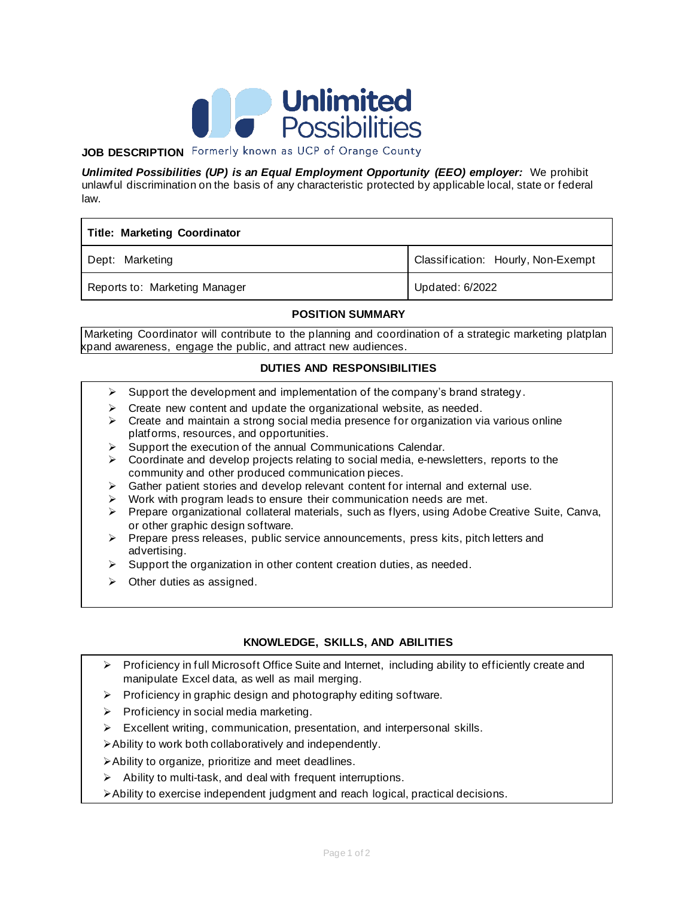

# **JOB DESCRIPTION** Formerly known as UCP of Orange County

*Unlimited Possibilities (UP) is an Equal Employment Opportunity (EEO) employer:* We prohibit unlawful discrimination on the basis of any characteristic protected by applicable local, state or federal law.

| <b>Title: Marketing Coordinator</b> |                                    |
|-------------------------------------|------------------------------------|
| Dept: Marketing                     | Classification: Hourly, Non-Exempt |
| Reports to: Marketing Manager       | Updated: 6/2022                    |

#### **POSITION SUMMARY**

Marketing Coordinator will contribute to the planning and coordination of a strategic marketing platplan kpand awareness, engage the public, and attract new audiences.

## **DUTIES AND RESPONSIBILITIES**

- $\triangleright$  Support the development and implementation of the company's brand strategy.
- $\triangleright$  Create new content and update the organizational website, as needed.
- $\triangleright$  Create and maintain a strong social media presence for organization via various online platforms, resources, and opportunities.
- $\triangleright$  Support the execution of the annual Communications Calendar.
- $\triangleright$  Coordinate and develop projects relating to social media, e-newsletters, reports to the community and other produced communication pieces.
- ➢ Gather patient stories and develop relevant content for internal and external use.
- ➢ Work with program leads to ensure their communication needs are met.
- ➢ Prepare organizational collateral materials, such as flyers, using Adobe Creative Suite, Canva, or other graphic design software.
- $\triangleright$  Prepare press releases, public service announcements, press kits, pitch letters and advertising.
- $\triangleright$  Support the organization in other content creation duties, as needed.
- $\triangleright$  Other duties as assigned.

# **KNOWLEDGE, SKILLS, AND ABILITIES**

- ➢ Proficiency in full Microsoft Office Suite and Internet, including ability to efficiently create and manipulate Excel data, as well as mail merging.
- ➢ Proficiency in graphic design and photography editing software.
- $\triangleright$  Proficiency in social media marketing.
- ➢ Excellent writing, communication, presentation, and interpersonal skills.
- ➢Ability to work both collaboratively and independently.
- ➢Ability to organize, prioritize and meet deadlines.
- $\triangleright$  Ability to multi-task, and deal with frequent interruptions.
- ➢Ability to exercise independent judgment and reach logical, practical decisions.